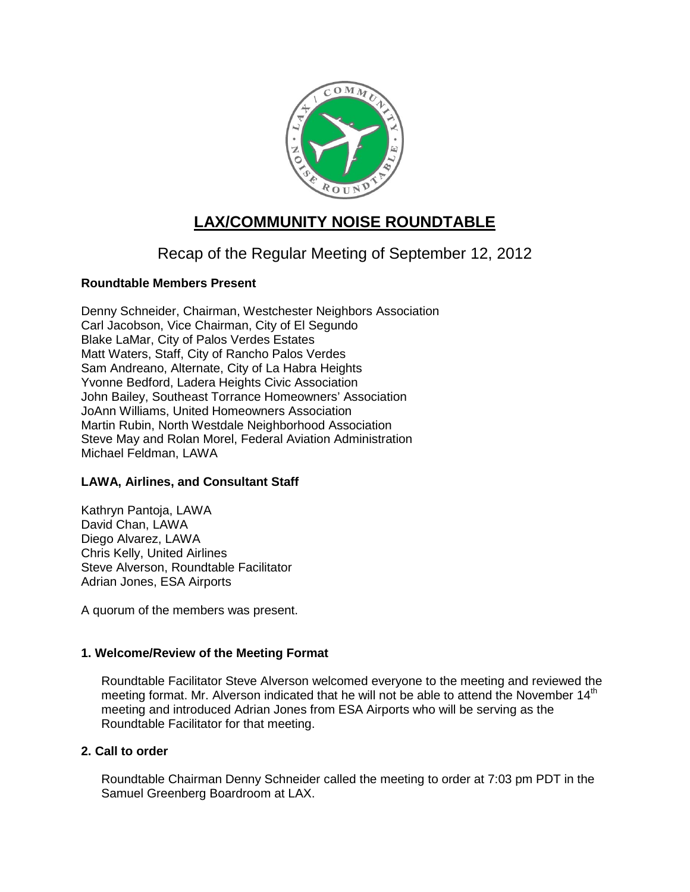

# **LAX/COMMUNITY NOISE ROUNDTABLE**

## Recap of the Regular Meeting of September 12, 2012

## **Roundtable Members Present**

Denny Schneider, Chairman, Westchester Neighbors Association Carl Jacobson, Vice Chairman, City of El Segundo Blake LaMar, City of Palos Verdes Estates Matt Waters, Staff, City of Rancho Palos Verdes Sam Andreano, Alternate, City of La Habra Heights Yvonne Bedford, Ladera Heights Civic Association John Bailey, Southeast Torrance Homeowners' Association JoAnn Williams, United Homeowners Association Martin Rubin, North Westdale Neighborhood Association Steve May and Rolan Morel, Federal Aviation Administration Michael Feldman, LAWA

## **LAWA, Airlines, and Consultant Staff**

Kathryn Pantoja, LAWA David Chan, LAWA Diego Alvarez, LAWA Chris Kelly, United Airlines Steve Alverson, Roundtable Facilitator Adrian Jones, ESA Airports

A quorum of the members was present.

#### **1. Welcome/Review of the Meeting Format**

Roundtable Facilitator Steve Alverson welcomed everyone to the meeting and reviewed the meeting format. Mr. Alverson indicated that he will not be able to attend the November 14<sup>th</sup> meeting and introduced Adrian Jones from ESA Airports who will be serving as the Roundtable Facilitator for that meeting.

#### **2. Call to order**

Roundtable Chairman Denny Schneider called the meeting to order at 7:03 pm PDT in the Samuel Greenberg Boardroom at LAX.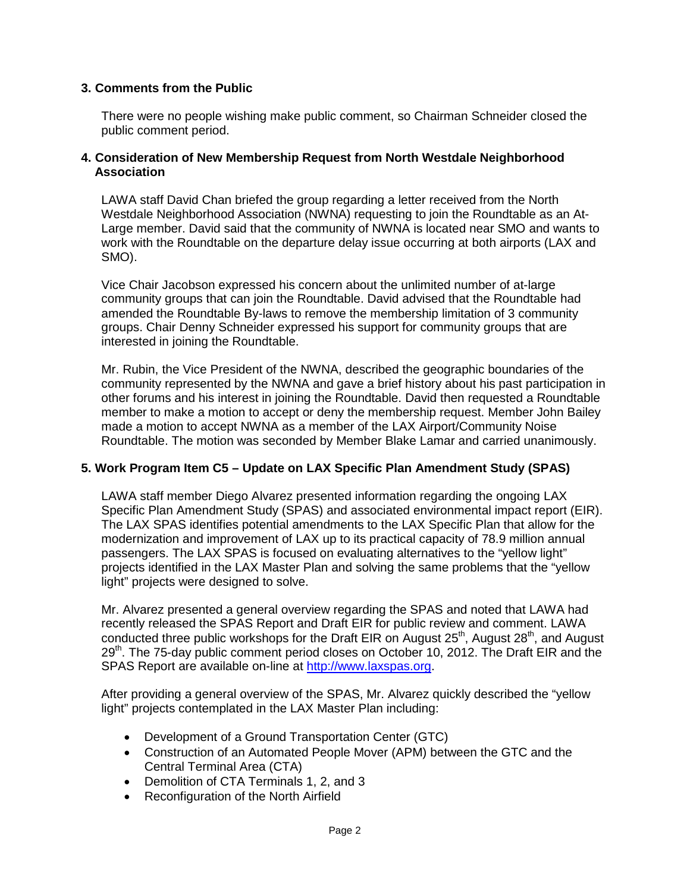## **3. Comments from the Public**

There were no people wishing make public comment, so Chairman Schneider closed the public comment period.

#### **4. Consideration of New Membership Request from North Westdale Neighborhood Association**

LAWA staff David Chan briefed the group regarding a letter received from the North Westdale Neighborhood Association (NWNA) requesting to join the Roundtable as an At-Large member. David said that the community of NWNA is located near SMO and wants to work with the Roundtable on the departure delay issue occurring at both airports (LAX and SMO).

Vice Chair Jacobson expressed his concern about the unlimited number of at-large community groups that can join the Roundtable. David advised that the Roundtable had amended the Roundtable By-laws to remove the membership limitation of 3 community groups. Chair Denny Schneider expressed his support for community groups that are interested in joining the Roundtable.

Mr. Rubin, the Vice President of the NWNA, described the geographic boundaries of the community represented by the NWNA and gave a brief history about his past participation in other forums and his interest in joining the Roundtable. David then requested a Roundtable member to make a motion to accept or deny the membership request. Member John Bailey made a motion to accept NWNA as a member of the LAX Airport/Community Noise Roundtable. The motion was seconded by Member Blake Lamar and carried unanimously.

#### **5. Work Program Item C5 – Update on LAX Specific Plan Amendment Study (SPAS)**

LAWA staff member Diego Alvarez presented information regarding the ongoing LAX Specific Plan Amendment Study (SPAS) and associated environmental impact report (EIR). The LAX SPAS identifies potential amendments to the LAX Specific Plan that allow for the modernization and improvement of LAX up to its practical capacity of 78.9 million annual passengers. The LAX SPAS is focused on evaluating alternatives to the "yellow light" projects identified in the LAX Master Plan and solving the same problems that the "yellow light" projects were designed to solve.

Mr. Alvarez presented a general overview regarding the SPAS and noted that LAWA had recently released the SPAS Report and Draft EIR for public review and comment. LAWA conducted three public workshops for the Draft EIR on August  $25<sup>th</sup>$ , August  $28<sup>th</sup>$ , and August 29<sup>th</sup>. The 75-day public comment period closes on October 10, 2012. The Draft EIR and the SPAS Report are available on-line at [http://www.laxspas.org.](http://www.laxspas.org/)

After providing a general overview of the SPAS, Mr. Alvarez quickly described the "yellow light" projects contemplated in the LAX Master Plan including:

- Development of a Ground Transportation Center (GTC)
- Construction of an Automated People Mover (APM) between the GTC and the Central Terminal Area (CTA)
- Demolition of CTA Terminals 1, 2, and 3
- Reconfiguration of the North Airfield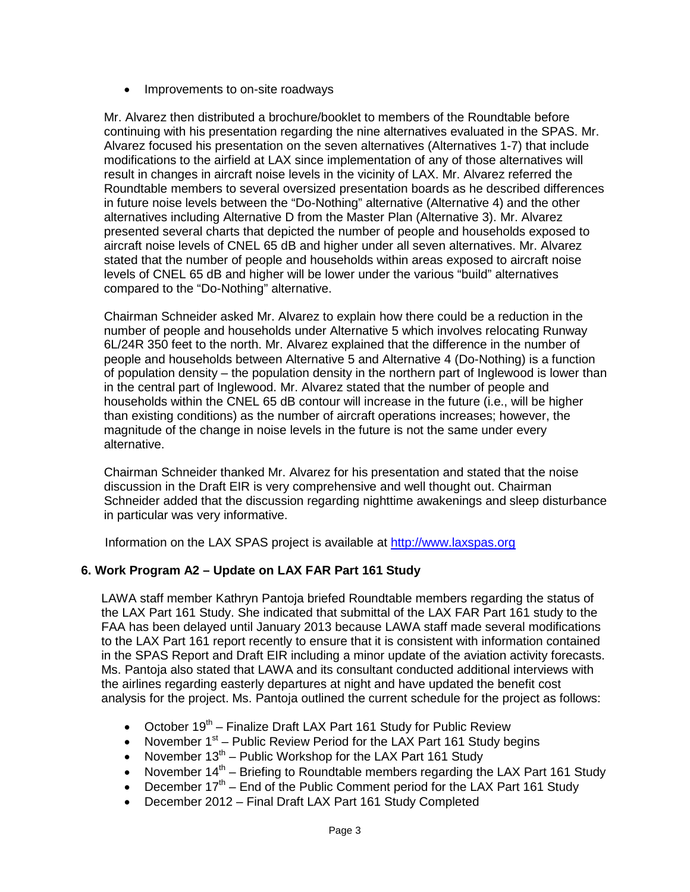• Improvements to on-site roadways

Mr. Alvarez then distributed a brochure/booklet to members of the Roundtable before continuing with his presentation regarding the nine alternatives evaluated in the SPAS. Mr. Alvarez focused his presentation on the seven alternatives (Alternatives 1-7) that include modifications to the airfield at LAX since implementation of any of those alternatives will result in changes in aircraft noise levels in the vicinity of LAX. Mr. Alvarez referred the Roundtable members to several oversized presentation boards as he described differences in future noise levels between the "Do-Nothing" alternative (Alternative 4) and the other alternatives including Alternative D from the Master Plan (Alternative 3). Mr. Alvarez presented several charts that depicted the number of people and households exposed to aircraft noise levels of CNEL 65 dB and higher under all seven alternatives. Mr. Alvarez stated that the number of people and households within areas exposed to aircraft noise levels of CNEL 65 dB and higher will be lower under the various "build" alternatives compared to the "Do-Nothing" alternative.

Chairman Schneider asked Mr. Alvarez to explain how there could be a reduction in the number of people and households under Alternative 5 which involves relocating Runway 6L/24R 350 feet to the north. Mr. Alvarez explained that the difference in the number of people and households between Alternative 5 and Alternative 4 (Do-Nothing) is a function of population density – the population density in the northern part of Inglewood is lower than in the central part of Inglewood. Mr. Alvarez stated that the number of people and households within the CNEL 65 dB contour will increase in the future (i.e., will be higher than existing conditions) as the number of aircraft operations increases; however, the magnitude of the change in noise levels in the future is not the same under every alternative.

Chairman Schneider thanked Mr. Alvarez for his presentation and stated that the noise discussion in the Draft EIR is very comprehensive and well thought out. Chairman Schneider added that the discussion regarding nighttime awakenings and sleep disturbance in particular was very informative.

Information on the LAX SPAS project is available at [http://www.laxspas.org](http://www.laxspas.org/)

## **6. Work Program A2 – Update on LAX FAR Part 161 Study**

LAWA staff member Kathryn Pantoja briefed Roundtable members regarding the status of the LAX Part 161 Study. She indicated that submittal of the LAX FAR Part 161 study to the FAA has been delayed until January 2013 because LAWA staff made several modifications to the LAX Part 161 report recently to ensure that it is consistent with information contained in the SPAS Report and Draft EIR including a minor update of the aviation activity forecasts. Ms. Pantoja also stated that LAWA and its consultant conducted additional interviews with the airlines regarding easterly departures at night and have updated the benefit cost analysis for the project. Ms. Pantoja outlined the current schedule for the project as follows:

- October  $19<sup>th</sup>$  Finalize Draft LAX Part 161 Study for Public Review
- November  $1<sup>st</sup>$  Public Review Period for the LAX Part 161 Study begins
- November  $13<sup>th</sup>$  Public Workshop for the LAX Part 161 Study
- November  $14<sup>th</sup>$  Briefing to Roundtable members regarding the LAX Part 161 Study
- December  $17<sup>th</sup>$  End of the Public Comment period for the LAX Part 161 Study
- December 2012 Final Draft LAX Part 161 Study Completed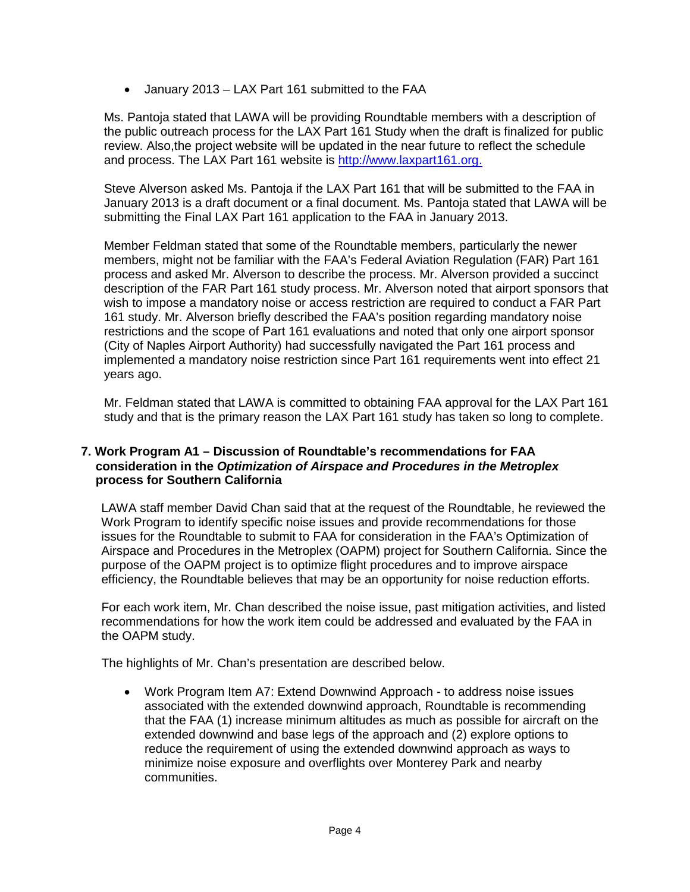• January 2013 – LAX Part 161 submitted to the FAA

Ms. Pantoja stated that LAWA will be providing Roundtable members with a description of the public outreach process for the LAX Part 161 Study when the draft is finalized for public review. Also,the project website will be updated in the near future to reflect the schedule and process. The LAX Part 161 website is [http://www.laxpart161.org.](http://www.laxpart161.org/)

Steve Alverson asked Ms. Pantoja if the LAX Part 161 that will be submitted to the FAA in January 2013 is a draft document or a final document. Ms. Pantoja stated that LAWA will be submitting the Final LAX Part 161 application to the FAA in January 2013.

Member Feldman stated that some of the Roundtable members, particularly the newer members, might not be familiar with the FAA's Federal Aviation Regulation (FAR) Part 161 process and asked Mr. Alverson to describe the process. Mr. Alverson provided a succinct description of the FAR Part 161 study process. Mr. Alverson noted that airport sponsors that wish to impose a mandatory noise or access restriction are required to conduct a FAR Part 161 study. Mr. Alverson briefly described the FAA's position regarding mandatory noise restrictions and the scope of Part 161 evaluations and noted that only one airport sponsor (City of Naples Airport Authority) had successfully navigated the Part 161 process and implemented a mandatory noise restriction since Part 161 requirements went into effect 21 years ago.

Mr. Feldman stated that LAWA is committed to obtaining FAA approval for the LAX Part 161 study and that is the primary reason the LAX Part 161 study has taken so long to complete.

#### **7. Work Program A1 – Discussion of Roundtable's recommendations for FAA consideration in the** *Optimization of Airspace and Procedures in the Metroplex* **process for Southern California**

LAWA staff member David Chan said that at the request of the Roundtable, he reviewed the Work Program to identify specific noise issues and provide recommendations for those issues for the Roundtable to submit to FAA for consideration in the FAA's Optimization of Airspace and Procedures in the Metroplex (OAPM) project for Southern California. Since the purpose of the OAPM project is to optimize flight procedures and to improve airspace efficiency, the Roundtable believes that may be an opportunity for noise reduction efforts.

For each work item, Mr. Chan described the noise issue, past mitigation activities, and listed recommendations for how the work item could be addressed and evaluated by the FAA in the OAPM study.

The highlights of Mr. Chan's presentation are described below.

• Work Program Item A7: Extend Downwind Approach - to address noise issues associated with the extended downwind approach, Roundtable is recommending that the FAA (1) increase minimum altitudes as much as possible for aircraft on the extended downwind and base legs of the approach and (2) explore options to reduce the requirement of using the extended downwind approach as ways to minimize noise exposure and overflights over Monterey Park and nearby communities.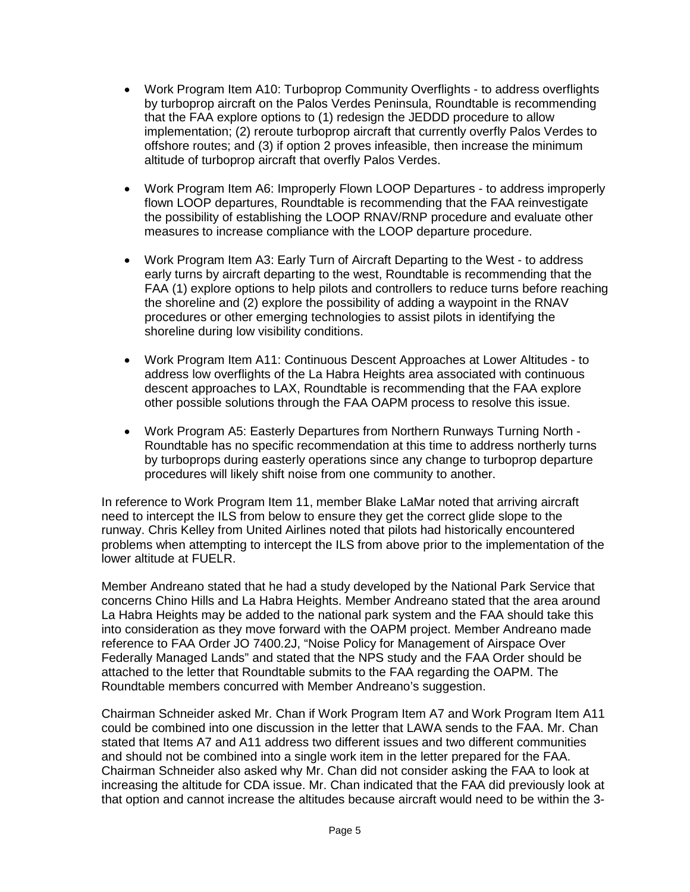- Work Program Item A10: Turboprop Community Overflights to address overflights by turboprop aircraft on the Palos Verdes Peninsula, Roundtable is recommending that the FAA explore options to (1) redesign the JEDDD procedure to allow implementation; (2) reroute turboprop aircraft that currently overfly Palos Verdes to offshore routes; and (3) if option 2 proves infeasible, then increase the minimum altitude of turboprop aircraft that overfly Palos Verdes.
- Work Program Item A6: Improperly Flown LOOP Departures to address improperly flown LOOP departures, Roundtable is recommending that the FAA reinvestigate the possibility of establishing the LOOP RNAV/RNP procedure and evaluate other measures to increase compliance with the LOOP departure procedure.
- Work Program Item A3: Early Turn of Aircraft Departing to the West to address early turns by aircraft departing to the west, Roundtable is recommending that the FAA (1) explore options to help pilots and controllers to reduce turns before reaching the shoreline and (2) explore the possibility of adding a waypoint in the RNAV procedures or other emerging technologies to assist pilots in identifying the shoreline during low visibility conditions.
- Work Program Item A11: Continuous Descent Approaches at Lower Altitudes to address low overflights of the La Habra Heights area associated with continuous descent approaches to LAX, Roundtable is recommending that the FAA explore other possible solutions through the FAA OAPM process to resolve this issue.
- Work Program A5: Easterly Departures from Northern Runways Turning North Roundtable has no specific recommendation at this time to address northerly turns by turboprops during easterly operations since any change to turboprop departure procedures will likely shift noise from one community to another.

In reference to Work Program Item 11, member Blake LaMar noted that arriving aircraft need to intercept the ILS from below to ensure they get the correct glide slope to the runway. Chris Kelley from United Airlines noted that pilots had historically encountered problems when attempting to intercept the ILS from above prior to the implementation of the lower altitude at FUELR.

Member Andreano stated that he had a study developed by the National Park Service that concerns Chino Hills and La Habra Heights. Member Andreano stated that the area around La Habra Heights may be added to the national park system and the FAA should take this into consideration as they move forward with the OAPM project. Member Andreano made reference to FAA Order JO 7400.2J, "Noise Policy for Management of Airspace Over Federally Managed Lands" and stated that the NPS study and the FAA Order should be attached to the letter that Roundtable submits to the FAA regarding the OAPM. The Roundtable members concurred with Member Andreano's suggestion.

Chairman Schneider asked Mr. Chan if Work Program Item A7 and Work Program Item A11 could be combined into one discussion in the letter that LAWA sends to the FAA. Mr. Chan stated that Items A7 and A11 address two different issues and two different communities and should not be combined into a single work item in the letter prepared for the FAA. Chairman Schneider also asked why Mr. Chan did not consider asking the FAA to look at increasing the altitude for CDA issue. Mr. Chan indicated that the FAA did previously look at that option and cannot increase the altitudes because aircraft would need to be within the 3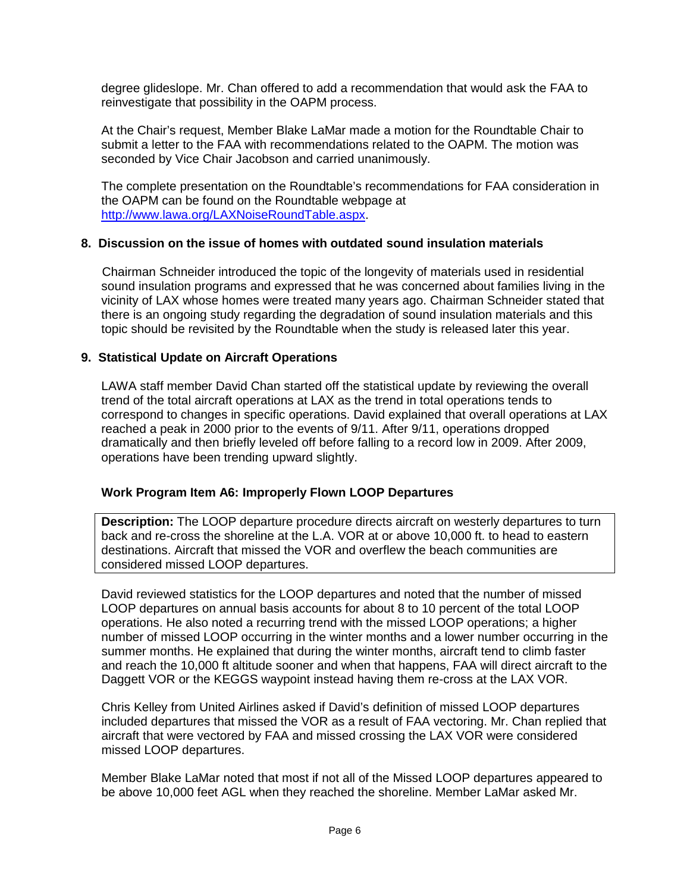degree glideslope. Mr. Chan offered to add a recommendation that would ask the FAA to reinvestigate that possibility in the OAPM process.

At the Chair's request, Member Blake LaMar made a motion for the Roundtable Chair to submit a letter to the FAA with recommendations related to the OAPM. The motion was seconded by Vice Chair Jacobson and carried unanimously.

The complete presentation on the Roundtable's recommendations for FAA consideration in the OAPM can be found on the Roundtable webpage at [http://www.lawa.org/LAXNoiseRoundTable.aspx.](http://www.lawa.aero/LAXNoiseRoundTable.aspx)

## **8. Discussion on the issue of homes with outdated sound insulation materials**

Chairman Schneider introduced the topic of the longevity of materials used in residential sound insulation programs and expressed that he was concerned about families living in the vicinity of LAX whose homes were treated many years ago. Chairman Schneider stated that there is an ongoing study regarding the degradation of sound insulation materials and this topic should be revisited by the Roundtable when the study is released later this year.

## **9. Statistical Update on Aircraft Operations**

LAWA staff member David Chan started off the statistical update by reviewing the overall trend of the total aircraft operations at LAX as the trend in total operations tends to correspond to changes in specific operations. David explained that overall operations at LAX reached a peak in 2000 prior to the events of 9/11. After 9/11, operations dropped dramatically and then briefly leveled off before falling to a record low in 2009. After 2009, operations have been trending upward slightly.

#### **Work Program Item A6: Improperly Flown LOOP Departures**

**Description:** The LOOP departure procedure directs aircraft on westerly departures to turn back and re-cross the shoreline at the L.A. VOR at or above 10,000 ft. to head to eastern destinations. Aircraft that missed the VOR and overflew the beach communities are considered missed LOOP departures.

David reviewed statistics for the LOOP departures and noted that the number of missed LOOP departures on annual basis accounts for about 8 to 10 percent of the total LOOP operations. He also noted a recurring trend with the missed LOOP operations; a higher number of missed LOOP occurring in the winter months and a lower number occurring in the summer months. He explained that during the winter months, aircraft tend to climb faster and reach the 10,000 ft altitude sooner and when that happens, FAA will direct aircraft to the Daggett VOR or the KEGGS waypoint instead having them re-cross at the LAX VOR.

Chris Kelley from United Airlines asked if David's definition of missed LOOP departures included departures that missed the VOR as a result of FAA vectoring. Mr. Chan replied that aircraft that were vectored by FAA and missed crossing the LAX VOR were considered missed LOOP departures.

Member Blake LaMar noted that most if not all of the Missed LOOP departures appeared to be above 10,000 feet AGL when they reached the shoreline. Member LaMar asked Mr.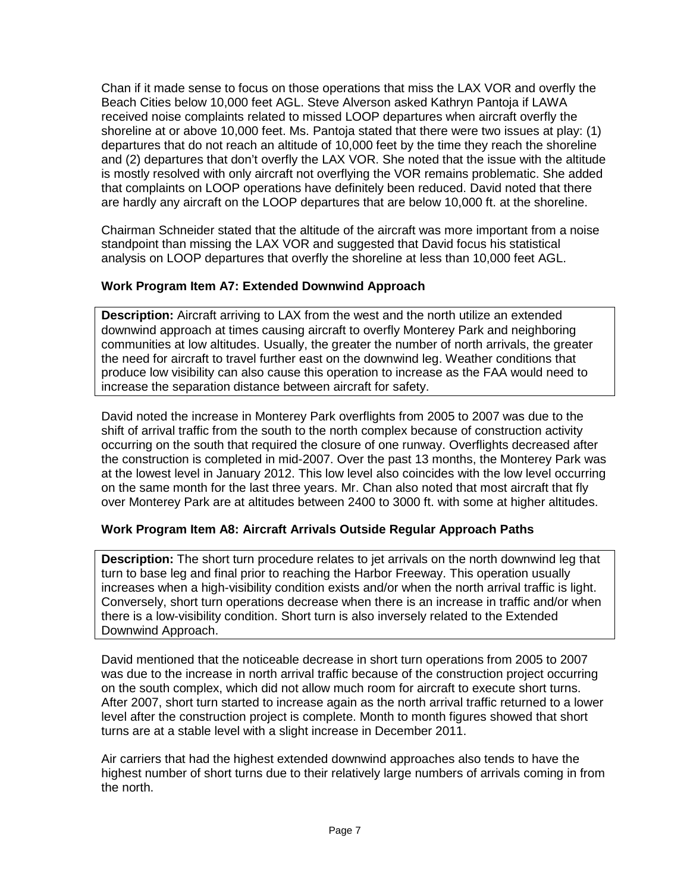Chan if it made sense to focus on those operations that miss the LAX VOR and overfly the Beach Cities below 10,000 feet AGL. Steve Alverson asked Kathryn Pantoja if LAWA received noise complaints related to missed LOOP departures when aircraft overfly the shoreline at or above 10,000 feet. Ms. Pantoja stated that there were two issues at play: (1) departures that do not reach an altitude of 10,000 feet by the time they reach the shoreline and (2) departures that don't overfly the LAX VOR. She noted that the issue with the altitude is mostly resolved with only aircraft not overflying the VOR remains problematic. She added that complaints on LOOP operations have definitely been reduced. David noted that there are hardly any aircraft on the LOOP departures that are below 10,000 ft. at the shoreline.

Chairman Schneider stated that the altitude of the aircraft was more important from a noise standpoint than missing the LAX VOR and suggested that David focus his statistical analysis on LOOP departures that overfly the shoreline at less than 10,000 feet AGL.

## **Work Program Item A7: Extended Downwind Approach**

**Description:** Aircraft arriving to LAX from the west and the north utilize an extended downwind approach at times causing aircraft to overfly Monterey Park and neighboring communities at low altitudes. Usually, the greater the number of north arrivals, the greater the need for aircraft to travel further east on the downwind leg. Weather conditions that produce low visibility can also cause this operation to increase as the FAA would need to increase the separation distance between aircraft for safety.

David noted the increase in Monterey Park overflights from 2005 to 2007 was due to the shift of arrival traffic from the south to the north complex because of construction activity occurring on the south that required the closure of one runway. Overflights decreased after the construction is completed in mid-2007. Over the past 13 months, the Monterey Park was at the lowest level in January 2012. This low level also coincides with the low level occurring on the same month for the last three years. Mr. Chan also noted that most aircraft that fly over Monterey Park are at altitudes between 2400 to 3000 ft. with some at higher altitudes.

## **Work Program Item A8: Aircraft Arrivals Outside Regular Approach Paths**

**Description:** The short turn procedure relates to jet arrivals on the north downwind leg that turn to base leg and final prior to reaching the Harbor Freeway. This operation usually increases when a high-visibility condition exists and/or when the north arrival traffic is light. Conversely, short turn operations decrease when there is an increase in traffic and/or when there is a low-visibility condition. Short turn is also inversely related to the Extended Downwind Approach.

David mentioned that the noticeable decrease in short turn operations from 2005 to 2007 was due to the increase in north arrival traffic because of the construction project occurring on the south complex, which did not allow much room for aircraft to execute short turns. After 2007, short turn started to increase again as the north arrival traffic returned to a lower level after the construction project is complete. Month to month figures showed that short turns are at a stable level with a slight increase in December 2011.

Air carriers that had the highest extended downwind approaches also tends to have the highest number of short turns due to their relatively large numbers of arrivals coming in from the north.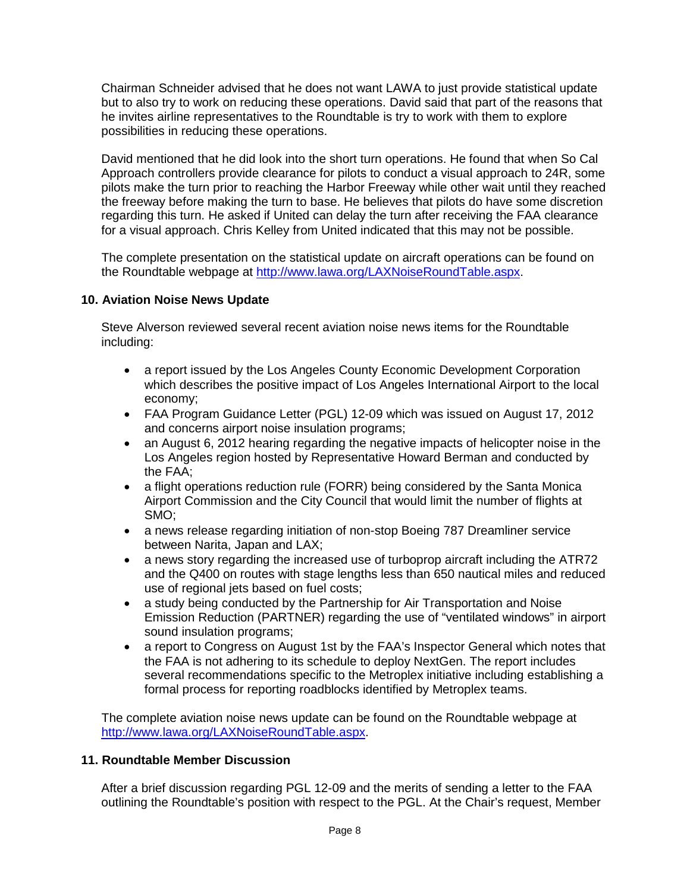Chairman Schneider advised that he does not want LAWA to just provide statistical update but to also try to work on reducing these operations. David said that part of the reasons that he invites airline representatives to the Roundtable is try to work with them to explore possibilities in reducing these operations.

David mentioned that he did look into the short turn operations. He found that when So Cal Approach controllers provide clearance for pilots to conduct a visual approach to 24R, some pilots make the turn prior to reaching the Harbor Freeway while other wait until they reached the freeway before making the turn to base. He believes that pilots do have some discretion regarding this turn. He asked if United can delay the turn after receiving the FAA clearance for a visual approach. Chris Kelley from United indicated that this may not be possible.

The complete presentation on the statistical update on aircraft operations can be found on the Roundtable webpage at [http://www.lawa.org/LAXNoiseRoundTable.aspx.](http://www.lawa.org/LAXNoiseRoundTable.aspx)

## **10. Aviation Noise News Update**

Steve Alverson reviewed several recent aviation noise news items for the Roundtable including:

- a report issued by the Los Angeles County Economic Development Corporation which describes the positive impact of Los Angeles International Airport to the local economy;
- FAA Program Guidance Letter (PGL) 12-09 which was issued on August 17, 2012 and concerns airport noise insulation programs;
- an August 6, 2012 hearing regarding the negative impacts of helicopter noise in the Los Angeles region hosted by Representative Howard Berman and conducted by the FAA;
- a flight operations reduction rule (FORR) being considered by the Santa Monica Airport Commission and the City Council that would limit the number of flights at SMO;
- a news release regarding initiation of non-stop Boeing 787 Dreamliner service between Narita, Japan and LAX;
- a news story regarding the increased use of turboprop aircraft including the ATR72 and the Q400 on routes with stage lengths less than 650 nautical miles and reduced use of regional jets based on fuel costs;
- a study being conducted by the Partnership for Air Transportation and Noise Emission Reduction (PARTNER) regarding the use of "ventilated windows" in airport sound insulation programs;
- a report to Congress on August 1st by the FAA's Inspector General which notes that the FAA is not adhering to its schedule to deploy NextGen. The report includes several recommendations specific to the Metroplex initiative including establishing a formal process for reporting roadblocks identified by Metroplex teams.

The complete aviation noise news update can be found on the Roundtable webpage at [http://www.lawa.org/LAXNoiseRoundTable.aspx.](http://www.lawa.org/LAXNoiseRoundTable.aspx)

#### **11. Roundtable Member Discussion**

After a brief discussion regarding PGL 12-09 and the merits of sending a letter to the FAA outlining the Roundtable's position with respect to the PGL. At the Chair's request, Member